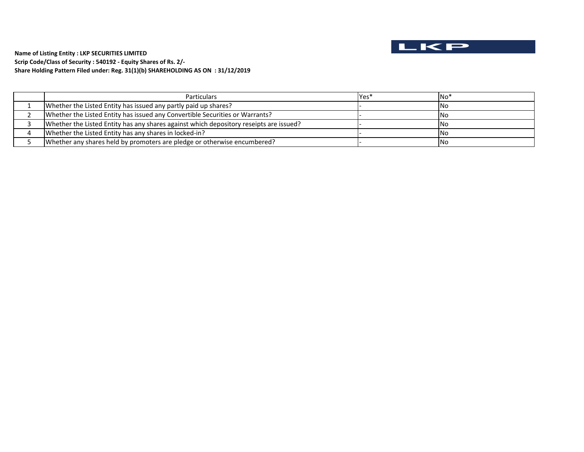

**Scrip Code/Class of Security : 540192 ‐ Equity Shares of Rs. 2/‐ Name of Listing Entity : LKP SECURITIES LIMITED Share Holding Pattern Filed under: Reg. 31(1)(b) SHAREHOLDING AS ON : 31/12/2019**

| <b>Particulars</b>                                                                     | Yes' | $\mathsf{No*}$ |
|----------------------------------------------------------------------------------------|------|----------------|
| Whether the Listed Entity has issued any partly paid up shares?                        |      | INo            |
| Whether the Listed Entity has issued any Convertible Securities or Warrants?           |      | l No           |
| Whether the Listed Entity has any shares against which depository reseipts are issued? |      | INo            |
| Whether the Listed Entity has any shares in locked-in?                                 |      | <b>INo</b>     |
| Whether any shares held by promoters are pledge or otherwise encumbered?               |      | INo            |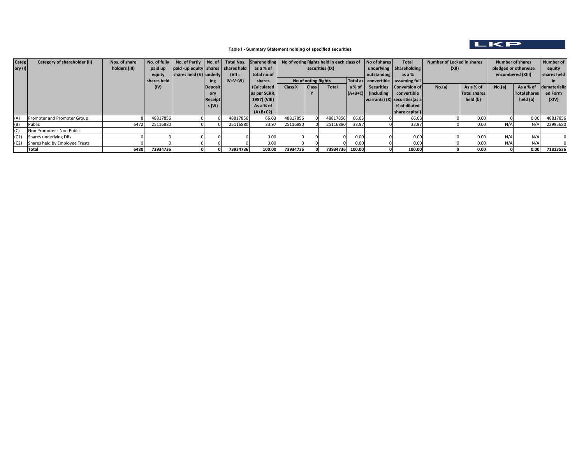

## **Table I - Summary Statement holding of specified securities**

| <b>Categ</b> | Category of shareholder (II)        | Nos. of share |             | No. of fully   No. of Partly   No. of   Total Nos. Shareholding |                |          |              | No of voting Rights held in each class of |                     |                 | No of shares | <b>Total</b>         | Number of Locked in shares             |        | <b>Number of shares</b> |                      | Number of           |              |
|--------------|-------------------------------------|---------------|-------------|-----------------------------------------------------------------|----------------|----------|--------------|-------------------------------------------|---------------------|-----------------|--------------|----------------------|----------------------------------------|--------|-------------------------|----------------------|---------------------|--------------|
| ory $(I)$    |                                     | holders (III) | paid up     | paid -up equity   shares   shares held                          |                |          | as a % of    |                                           |                     | securities (IX) |              |                      | underlying   Shareholding              | (XII)  |                         | pledged or otherwise |                     | equity       |
|              |                                     |               | equity      | shares held (V) underly                                         |                | $(VII =$ | total no.of  |                                           |                     |                 | outstanding  | as a %               |                                        |        | encumbered (XIII)       |                      | shares held         |              |
|              |                                     |               | shares held |                                                                 | ing            | IV+V+VI) | shares       |                                           | No of voting Rights |                 |              |                      | Total as   convertible   assuming full |        |                         |                      |                     |              |
|              |                                     |               | (IV)        |                                                                 | <b>Deposit</b> |          | (Calculated  | Class X                                   | Class <sub>I</sub>  | <b>Total</b>    | a% of I      |                      | Securities   Conversion of             | No.(a) | As a % of               | No.(a)               | As a % of           | dematerializ |
|              |                                     |               |             |                                                                 | ory            |          | as per SCRR, |                                           |                     |                 |              | $(A+B+C)$ (including | convertible                            |        | <b>Total shares</b>     |                      | <b>Total shares</b> | ed Form      |
|              |                                     |               |             |                                                                 | Receipt        |          | 1957) (VIII) |                                           |                     |                 |              |                      | $ warants $ $(X)$ securities (as a     |        | held (b)                |                      | held (b)            | (XIV)        |
|              |                                     |               |             |                                                                 | s (VI)         |          | As a % of    |                                           |                     |                 |              |                      | % of diluted                           |        |                         |                      |                     |              |
|              |                                     |               |             |                                                                 |                |          | $(A+B+C2)$   |                                           |                     |                 |              |                      | share capital)                         |        |                         |                      |                     |              |
| (A)          | Promoter and Promoter Group         |               | 48817856    |                                                                 |                | 48817856 | 66.03        | 48817856                                  |                     | 48817856        | 66.03        |                      | 66.03                                  |        | 0.00                    |                      | 0.00                | 48817856     |
| (B)          | Public                              | 6472          | 25116880    |                                                                 |                | 25116880 | 33.97        | 25116880                                  |                     | 25116880        | 33.97        |                      | 33.97                                  |        | 0.00                    | N/A                  | N/A                 | 22995680     |
| (C)          | Non Promoter - Non Public           |               |             |                                                                 |                |          |              |                                           |                     |                 |              |                      |                                        |        |                         |                      |                     |              |
| (C1)         | Shares underlying DRs               |               |             |                                                                 |                |          | 0.00         |                                           |                     |                 | 0.00         |                      | 0.00                                   |        | 0.00                    | N/A                  | N/f                 |              |
|              | (C2) Shares held by Employee Trusts |               |             |                                                                 |                |          | 0.00         |                                           |                     |                 | 0.00         |                      | 0.00                                   |        | 0.00                    | N/A                  | $N/\ell$            |              |
|              | Total                               | 6480          | 73934736    |                                                                 |                | 73934736 | 100.00       | 73934736                                  |                     | 73934736 100.00 |              |                      | 100.00                                 |        | 0.00                    |                      | 0.00                | 71813536     |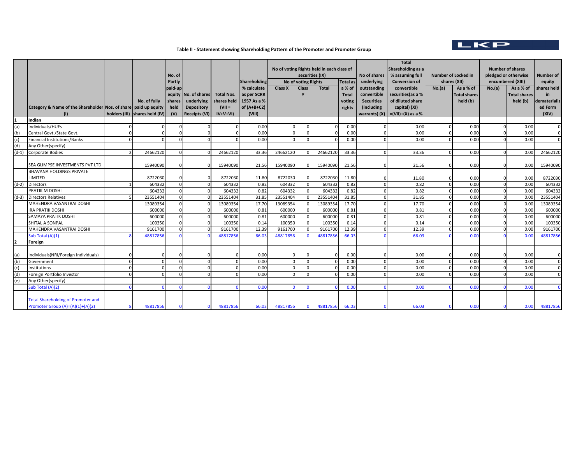

## **Table II ‐ Statement showing Shareholding Pattern of the Promoter and Promoter Group**

|         |                                                                 |                                |         |                      |                   |               |                                           |                     |              |                 |                   | <b>Total</b>             |        |                            |                      |                         |                  |
|---------|-----------------------------------------------------------------|--------------------------------|---------|----------------------|-------------------|---------------|-------------------------------------------|---------------------|--------------|-----------------|-------------------|--------------------------|--------|----------------------------|----------------------|-------------------------|------------------|
|         |                                                                 |                                |         |                      |                   |               | No of voting Rights held in each class of |                     |              |                 |                   | <b>Shareholding as a</b> |        |                            |                      | <b>Number of shares</b> |                  |
|         |                                                                 |                                | No. of  |                      |                   |               |                                           | securities (IX)     |              |                 | No of shares      | % assuming full          |        | <b>Number of Locked in</b> | pledged or otherwise |                         | <b>Number of</b> |
|         |                                                                 |                                | Partly  |                      |                   | Shareholding  |                                           | No of voting Rights |              | <b>Total as</b> | underlying        | <b>Conversion of</b>     |        | shares (XII)               |                      | encumbered (XIII)       | equity           |
|         |                                                                 |                                | paid-up |                      |                   | % calculate   | <b>Class X</b>                            | Class               | <b>Total</b> | a % of          | outstanding       | convertible              | No.(a) | As a % of                  | No.(a)               | As a % of               | shares held      |
|         |                                                                 |                                | equity  | No. of shares        | <b>Total Nos.</b> | as per SCRR   |                                           | Y                   |              | <b>Total</b>    | convertible       | securities(as a %        |        | <b>Total shares</b>        |                      | <b>Total shares</b>     | in               |
|         |                                                                 | No. of fully                   | shares  | underlying           | shares held       | 1957 As a %   |                                           |                     |              | voting          | <b>Securities</b> | of diluted share         |        | held (b)                   |                      | held (b)                | dematerializ     |
|         | Category & Name of the Shareholder Nos. of share paid up equity |                                | held    | <b>Depository</b>    | $ V   =$          | of $(A+B+C2)$ |                                           |                     |              | rights          | (including        | capital) (XI)            |        |                            |                      |                         | ed Form          |
|         | (1)                                                             | holders (III) shares held (IV) | (V)     | <b>Receipts (VI)</b> | $IV+V+VI$         | (VIII)        |                                           |                     |              |                 | warrants) (X)     | $=(VII)+(X)$ as a %      |        |                            |                      |                         | (XIV)            |
|         | Indian                                                          |                                |         |                      |                   |               |                                           |                     |              |                 |                   |                          |        |                            |                      |                         |                  |
| (a      | Individuals/HUFs                                                |                                |         |                      |                   | 0.00          | $\Omega$                                  | $\Omega$            |              | 0.00            |                   | 0.00                     |        | 0.00                       |                      | 0.00                    |                  |
| (b      | Central Govt./State Govt.                                       |                                |         |                      |                   | 0.00          | $\Omega$                                  |                     |              | 0.00            |                   | 0.00                     |        | 0.00                       |                      | 0.00                    |                  |
| (c)     | Financial Institutions/Banks                                    |                                |         |                      |                   | 0.00          | $\Omega$                                  | ſ                   |              | 0.00            |                   | 0.00                     |        | 0.00                       |                      | 0.00                    |                  |
| (d)     | Any Other(specify)                                              |                                |         |                      |                   |               |                                           |                     |              |                 |                   |                          |        |                            |                      |                         |                  |
| $(d-1)$ | <b>Corporate Bodies</b>                                         | 24662120                       |         |                      | 24662120          | 33.36         | 24662120                                  |                     | 24662120     | 33.36           |                   | 33.36                    |        | 0.00                       |                      | 0.00                    | 24662120         |
|         |                                                                 |                                |         |                      |                   |               |                                           |                     |              |                 |                   |                          |        |                            |                      |                         |                  |
|         | SEA GLIMPSE INVESTMENTS PVT LTD                                 | 15940090                       |         |                      | 15940090          | 21.56         | 15940090                                  |                     | 15940090     | 21.56           |                   | 21.56                    |        | 0.00                       |                      | 0.00                    | 15940090         |
|         | <b>BHAVANA HOLDINGS PRIVATE</b>                                 |                                |         |                      |                   |               |                                           |                     |              |                 |                   |                          |        |                            |                      |                         |                  |
|         | LIMITED                                                         | 8722030                        |         |                      | 8722030           | 11.80         | 8722030                                   |                     | 8722030      | 11.80           |                   | 11.80                    |        | 0.00                       |                      | 0.00                    | 8722030          |
| $(d-2)$ | <b>Directors</b>                                                | 604332                         |         |                      | 604332            | 0.82          | 604332                                    | $\Omega$            | 604332       | 0.82            |                   | 0.82                     |        | 0.00                       |                      | 0.00                    | 604332           |
|         | PRATIK M DOSHI                                                  | 604332                         |         |                      | 604332            | 0.82          | 604332                                    | $\Omega$            | 604332       | 0.82            |                   | 0.82                     |        | 0.00                       |                      | 0.00                    | 604332           |
| $(d-3)$ | <b>Directors Relatives</b>                                      | 23551404                       |         |                      | 23551404          | 31.85         | 23551404                                  |                     | 23551404     | 31.85           |                   | 31.85                    |        | 0.00                       |                      | 0.00                    | 23551404         |
|         | MAHENDRA VASANTRAI DOSHI                                        | 13089354                       |         |                      | 13089354          | 17.70         | 13089354                                  |                     | 13089354     | 17.70           |                   | 17.70                    |        | 0.00                       |                      | 0.00                    | 13089354         |
|         | <b>IRA PRATIK DOSHI</b>                                         | 600000                         |         |                      | 600000            | 0.81          | 600000                                    |                     | 600000       | 0.81            |                   | 0.81                     |        | 0.00                       |                      | 0.00                    | 600000           |
|         | SAMAYA PRATIK DOSHI                                             | 600000                         |         |                      | 600000            | 0.81          | 600000                                    |                     | 600000       | 0.81            |                   | 0.81                     |        | 0.00                       |                      | 0.00                    | 600000           |
|         | SHITAL A SONPAL                                                 | 100350                         |         |                      | 100350            | 0.14          | 100350                                    |                     | 100350       | 0.14            |                   | 0.14                     |        | 0.00                       |                      | 0.00                    | 100350           |
|         | MAHENDRA VASANTRAI DOSHI                                        | 9161700                        |         |                      | 9161700           | 12.39         | 9161700                                   |                     | 9161700      | 12.39           |                   | 12.39                    |        | 0.00                       |                      | 0.00                    | 9161700          |
|         | Sub Total (A)(1)                                                | 48817856                       |         |                      | 48817856          | 66.03         | 48817856                                  |                     | 48817856     | 66.03           |                   | 66.03                    |        | 0.00                       |                      | 0.00                    | 48817856         |
|         | Foreign                                                         |                                |         |                      |                   |               |                                           |                     |              |                 |                   |                          |        |                            |                      |                         |                  |
|         |                                                                 |                                |         |                      |                   |               |                                           |                     |              |                 |                   |                          |        |                            |                      |                         |                  |
|         | Individuals(NRI/Foreign Individuals)                            |                                |         |                      |                   | 0.00          |                                           |                     |              | 0.00            |                   | 0.00                     |        | 0.00                       |                      | 0.00                    |                  |
| (b)     | Government                                                      | $\Omega$                       |         |                      | $\Omega$          | 0.00          | $\Omega$                                  | $\Omega$            |              | 0.00            |                   | 0.00                     |        | 0.00                       |                      | 0.00                    | $\Omega$         |
| (c)     | Institutions                                                    | $\Omega$                       |         |                      | $\Omega$          | 0.00          | $\Omega$                                  | $\Omega$            |              | 0.00            |                   | 0.00                     |        | 0.00                       |                      | 0.00                    |                  |
| (d)     | Foreign Portfolio Investor                                      | $\Omega$                       |         |                      |                   | 0.00          |                                           |                     |              | 0.00            |                   | 0.00                     |        | 0.00                       |                      | 0.00                    |                  |
| (e)     | Any Other(specify)                                              |                                |         |                      |                   |               |                                           |                     |              |                 |                   |                          |        |                            |                      |                         |                  |
|         | Sub Total (A)(2)                                                |                                |         |                      |                   | 0.00          |                                           | <b>C</b>            |              | 0.00            |                   | 0.00                     |        | 0.00                       |                      | 0.00                    |                  |
|         |                                                                 |                                |         |                      |                   |               |                                           |                     |              |                 |                   |                          |        |                            |                      |                         |                  |
|         | <b>Total Shareholding of Promoter and</b>                       |                                |         |                      |                   |               |                                           |                     |              |                 |                   |                          |        |                            |                      |                         |                  |
|         | Promoter Group (A)=(A)(1)+(A)(2)                                | 48817856                       |         |                      | 48817856          | 66.03         | 48817856                                  | $\Omega$            | 48817856     | 66.03           |                   | 66.03                    |        | 0.00                       |                      | 0.00                    | 48817856         |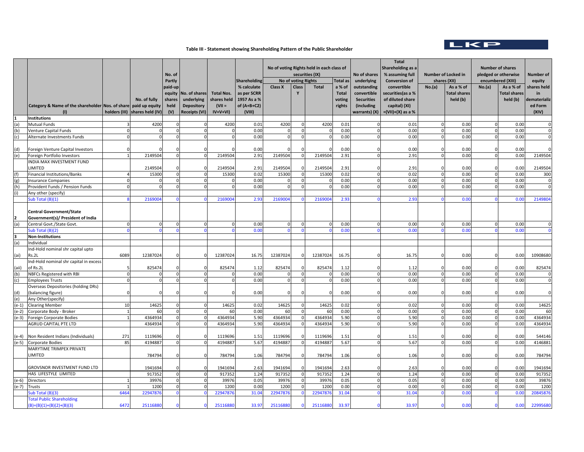

## **Table III ‐ Statement showing Shareholding Pattern of the Public Shareholder**

| Partly<br><b>Shareholding</b><br><b>No of voting Rights</b><br><b>Total as</b><br>underlying<br><b>Conversion of</b><br>shares (XII)<br>encumbered (XIII)<br>equity<br><b>Class X</b><br>paid-up<br>% calculate<br>Class<br>Total<br>outstanding<br>convertible<br>No.(a)<br>As a % of<br>No.(a)<br>As a % of<br>hares held<br>a % of<br>equity<br>No. of shares<br><b>Total Nos.</b><br>as per SCRR<br><b>Total</b><br>convertible<br>securities(as a %<br><b>Total shares</b><br><b>Total shares</b><br>in<br>1957 As a %<br>of diluted share<br>held (b)<br>held (b)<br>No. of fully<br>shares<br>underlying<br>shares held<br>voting<br><b>Securities</b><br>Category & Name of the shareholder Nos. of share<br>held<br><b>Depository</b><br>$(VII =$<br>of $(A+B+C2)$<br>(including<br>ed Form<br>paid up equity<br>capital) (XI)<br>rights<br>warrants) (X)   =(VII)+(X) as a %<br>holders (III)<br>shares held (IV)<br>(V)<br><b>Receipts (VI)</b><br>$IV+V+VI)$<br>(VIII)<br>(XIV)<br>(1)<br>Institutions<br>4200<br>4200<br>0.00<br>(a)<br>Mutual Funds<br>4200<br>0.01<br>4200<br>0.01<br>0.01<br>0.00<br>$\Omega$<br>(b)<br>0.00<br>0.00<br>0.00<br>0.00<br>0.00<br>Venture Capital Funds<br>$\Omega$<br>0.00<br>0.00<br>0.00<br>0.00<br>0.00<br>(c)<br>Alternate Investments Funds<br>$\Omega$<br>$\Omega$<br>$\Omega$<br>$\Omega$<br>$\Omega$<br>$\Omega$<br>$\Omega$<br>$\Omega$<br>$\Omega$<br>0.00<br>0.00<br>0.00<br>0.00<br>(d)<br>Foreign Venture Capital Investors<br>0.00<br>$\Omega$<br>2.91<br>0.00<br>2149504<br>2149504<br>2.91<br>2149504<br>2149504<br>2.91<br>0.00<br>(e)<br>Foreign Portfolio Investors<br>$\overline{0}$<br>$\Omega$<br>$\mathbf 0$<br>$\Omega$<br>$\Omega$<br>INDIA MAX INVESTMENT FUND<br>2149504<br>2149504<br><b>IMITED</b><br>2149504<br>2.91<br>2149504<br>2.91<br>0.00<br>0.00<br>2.91<br>$\Omega$<br>0.02<br>(f)<br>15300<br>15300<br>0.02<br>15300<br>Financial Institutions/Banks<br>15300<br>0.00<br>0.00<br>$\Omega$<br>$\Omega$<br>$\Omega$<br>$\Omega$<br>0.02<br>$\mathbf{0}$<br>$\Omega$<br>0.00<br>0.00<br>0.00<br>0.00<br>0.00<br>(g)<br>Insurance Companies<br>$\Omega$<br>$\Omega$<br>n<br>$\Omega$<br>0<br>$\Omega$<br>$\Omega$<br>(h)<br>$\Omega$<br>0.00<br>Provident Funds / Pension Funds<br>$\Omega$<br>$\Omega$<br>0.00<br>0.00<br>0.00<br>$\Omega$<br>0.00<br>$\Omega$<br>$\Omega$<br>$\Omega$<br>(i)<br>Any other (specify)<br>216900<br>2169004<br>2.93<br>2169004<br>2.93<br>0.00<br>Sub Total (B)(1)<br>216900<br>2.93<br>0.00<br><b>Central Government/State</b><br>Government(s)/ President of India<br>(a)<br>0.00<br>0.00<br>Central Govt./State Govt.<br>0.00<br>0.00<br>0.00<br>$\Omega$<br>0.00<br>0.00<br>0.00<br>Sub Total (B)(2)<br>0.00<br>0.0(<br>3<br><b>Non-Institutions</b><br>(a)<br>ndividual<br>Ind-Hold nominal shr capital upto<br>6089<br>12387024<br>12387024<br>16.75<br>12387024<br>12387024<br>16.75<br>16.75<br>0.00<br>0.00<br>ks.2L<br>(ai)<br>Ind-Hold nominal shr capital in excess<br>of Rs.2L<br>825474<br>825474<br>825474<br>825474<br>0.00<br>0.00<br>1.12<br>1.12<br>1.12<br>(aii)<br>$\Omega$<br>$\Omega$<br>$\Omega$<br>$\Omega$<br>NBFCs Registered with RBI<br>0.00<br>0.00<br>(b)<br>0.00<br>0.00<br>0.00<br>$\Omega$<br>$\Omega$<br>$\Omega$<br>$\Omega$<br>$\Omega$<br>$\Omega$<br>(c)<br>0.00<br>0.00<br>0.00<br>0.00<br>0.00<br><b>Employees Trusts</b><br>$\Omega$<br>$\mathbf 0$<br>$\Omega$<br>$\mathbf 0$<br>$\Omega$<br>$\Omega$<br>$\Omega$<br>Overseas Depositories (holding DRs)<br>balancing figure)<br>0.00<br>0.00<br>0.00<br>0.00<br>0.00<br>(d)<br>(e)<br>Any Other(specify)<br>14625<br>0.02<br>14625<br>14625<br>0.02<br>0.00<br>0.00<br><b>Clearing Member</b><br>10<br>14625<br>$\Omega$<br>0.02<br>$(e-1)$<br>$\Omega$<br>$\Omega$<br>$\Omega$<br>$\mathbf 0$<br>$\mathbf 0$<br>0.00<br>0.00<br>Corporate Body - Broker<br>60<br>$\Omega$<br>60<br>0.00<br>60<br>$\Omega$<br>60<br>0.00<br>0.00<br>$\Omega$<br>$\mathbf 0$<br>(e-2)<br>4364934<br>5.90<br>4364934<br>4364934<br>5.90<br>5.90<br>0.00<br>0.00<br>$(e-3)$<br>4364934<br>$\Omega$<br>$\Omega$<br>$\Omega$<br>$\mathbf 0$<br>$\Omega$<br>Foreign Corporate Bodies<br>5.90<br>0.00<br>4364934<br>4364934<br>4364934<br>4364934<br>5.90<br>5.90<br>0.00<br><b>AGRUD CAPITAL PTE LTD</b><br>$\overline{0}$<br>$\Omega$<br>$\Omega$<br>$\Omega$<br>$\Omega$<br>$\Omega$<br>271<br>1119696<br>1119696<br>1.51<br>1119696<br>1119696<br>0.00<br>0.00<br>Non Resident Indians (Individuals)<br>1.51<br>1.51<br>(e-4)<br>4194887<br>5.67<br>0.00<br>85<br>4194887<br>4194887<br>5.67<br>4194887<br>5.67<br>0.00<br>$(e-5)$<br>Corporate Bodies<br>$\Omega$<br>$\Omega$<br>$\Omega$<br>$\Omega$<br>$\Omega$<br>$\Omega$<br>MARYTIME TRIMPEX PRIVATE<br>784794<br>784794<br>1.06<br>784794<br>784794<br>1.06<br>0.00<br>0.00<br><b>IMITED</b><br>1.06<br>$\Omega$<br>$\Omega$<br>GROVSNOR INVESTMENT FUND LTD<br>1941694<br>1941694<br>2.63<br>1941694<br>1941694<br>2.63<br>2.63<br>0.00<br>0.00<br>HAS LIFESTYLE LIMITED<br>917352<br>917352<br>1.24<br>917352<br>$\mathbf 0$<br>917352<br>1.24<br>1.24<br>0.00<br>0.00<br>$\Omega$<br>$\Omega$<br>$\Omega$<br>$\mathbf 0$<br>$\mathbf 0$<br>0.05<br>0.00<br>$(e-6)$<br>39976<br>39976<br>39976<br>39976<br>0.05<br>0.05<br>0.00<br>$\overline{0}$<br>$\Omega$<br>$\mathbf 0$<br>Directors<br>$\Omega$<br>$\Omega$<br>$\mathbf 0$<br>0.00<br>0.00<br>$(e-7)$<br>Trusts<br>1200<br>1200<br>0.00<br>1200<br>1200<br>0.00<br>$\Omega$<br>0.00<br>1200<br>$\Omega$<br>$\Omega$<br>22947876<br>22947876<br>2294787<br>31.04<br>0.00<br>0.00<br>20845876<br>Sub Total (B)(3)<br>6464<br>22947876<br>31.04<br>31.04<br>$\Omega$<br><b>Total Public Shareholding</b><br>25116880<br>25116880<br>33.97<br>0.00<br>0.00<br>$(B)=(B)(1)+(B)(2)+(B)(3)$<br>6472<br>2511688<br>33.97<br>2511688<br>33.97 |  |  | No. of |  | No of voting Rights held in each class of<br>securities (IX) |  |  |  | No of shares | <b>Total</b><br>Shareholding as a<br>% assuming full | <b>Number of Locked in</b> |  | <b>Number of shares</b><br>pledged or otherwise |  | Number of |
|-----------------------------------------------------------------------------------------------------------------------------------------------------------------------------------------------------------------------------------------------------------------------------------------------------------------------------------------------------------------------------------------------------------------------------------------------------------------------------------------------------------------------------------------------------------------------------------------------------------------------------------------------------------------------------------------------------------------------------------------------------------------------------------------------------------------------------------------------------------------------------------------------------------------------------------------------------------------------------------------------------------------------------------------------------------------------------------------------------------------------------------------------------------------------------------------------------------------------------------------------------------------------------------------------------------------------------------------------------------------------------------------------------------------------------------------------------------------------------------------------------------------------------------------------------------------------------------------------------------------------------------------------------------------------------------------------------------------------------------------------------------------------------------------------------------------------------------------------------------------------------------------------------------------------------------------------------------------------------------------------------------------------------------------------------------------------------------------------------------------------------------------------------------------------------------------------------------------------------------------------------------------------------------------------------------------------------------------------------------------------------------------------------------------------------------------------------------------------------------------------------------------------------------------------------------------------------------------------------------------------------------------------------------------------------------------------------------------------------------------------------------------------------------------------------------------------------------------------------------------------------------------------------------------------------------------------------------------------------------------------------------------------------------------------------------------------------------------------------------------------------------------------------------------------------------------------------------------------------------------------------------------------------------------------------------------------------------------------------------------------------------------------------------------------------------------------------------------------------------------------------------------------------------------------------------------------------------------------------------------------------------------------------------------------------------------------------------------------------------------------------------------------------------------------------------------------------------------------------------------------------------------------------------------------------------------------------------------------------------------------------------------------------------------------------------------------------------------------------------------------------------------------------------------------------------------------------------------------------------------------------------------------------------------------------------------------------------------------------------------------------------------------------------------------------------------------------------------------------------------------------------------------------------------------------------------------------------------------------------------------------------------------------------------------------------------------------------------------------------------------------------------------------------------------------------------------------------------------------------------------------------------------------------------------------------------------------------------------------------------------------------------------------------------------------------------------------------------------------------------------------------------------------------------------------------------------------------------------------------------------------------------------------------------------------------------------------------------------------------------------------------------------------------------------------------------------------------------------------------------------------------------------------------------------------------------------------------------------------------------------------------------------------------------------------------------------------------------------------------------------------------------------------------------------------------------------------------------------|--|--|--------|--|--------------------------------------------------------------|--|--|--|--------------|------------------------------------------------------|----------------------------|--|-------------------------------------------------|--|-----------|
| dematerializ<br>$\mathbf 0$<br>$\Omega$<br>$\mathbf 0$<br>0<br>2149504<br>2149504<br>300<br>0<br>$\mathbf 0$<br>2149804<br>$\Omega$<br>$\mathbf{0}$<br>10908680<br>825474<br>$\Omega$<br>$\mathbf 0$<br>$\Omega$<br>14625<br>60<br>4364934<br>4364934<br>544146<br>4146881<br>784794<br>1941694<br>917352<br>39876<br>22995680                                                                                                                                                                                                                                                                                                                                                                                                                                                                                                                                                                                                                                                                                                                                                                                                                                                                                                                                                                                                                                                                                                                                                                                                                                                                                                                                                                                                                                                                                                                                                                                                                                                                                                                                                                                                                                                                                                                                                                                                                                                                                                                                                                                                                                                                                                                                                                                                                                                                                                                                                                                                                                                                                                                                                                                                                                                                                                                                                                                                                                                                                                                                                                                                                                                                                                                                                                                                                                                                                                                                                                                                                                                                                                                                                                                                                                                                                                                                                                                                                                                                                                                                                                                                                                                                                                                                                                                                                                                                                                                                                                                                                                                                                                                                                                                                                                                                                                                                                                                                                                                                                                                                                                                                                                                                                                                                                                                                                                                                                                                |  |  |        |  |                                                              |  |  |  |              |                                                      |                            |  |                                                 |  |           |
|                                                                                                                                                                                                                                                                                                                                                                                                                                                                                                                                                                                                                                                                                                                                                                                                                                                                                                                                                                                                                                                                                                                                                                                                                                                                                                                                                                                                                                                                                                                                                                                                                                                                                                                                                                                                                                                                                                                                                                                                                                                                                                                                                                                                                                                                                                                                                                                                                                                                                                                                                                                                                                                                                                                                                                                                                                                                                                                                                                                                                                                                                                                                                                                                                                                                                                                                                                                                                                                                                                                                                                                                                                                                                                                                                                                                                                                                                                                                                                                                                                                                                                                                                                                                                                                                                                                                                                                                                                                                                                                                                                                                                                                                                                                                                                                                                                                                                                                                                                                                                                                                                                                                                                                                                                                                                                                                                                                                                                                                                                                                                                                                                                                                                                                                                                                                                                               |  |  |        |  |                                                              |  |  |  |              |                                                      |                            |  |                                                 |  |           |
|                                                                                                                                                                                                                                                                                                                                                                                                                                                                                                                                                                                                                                                                                                                                                                                                                                                                                                                                                                                                                                                                                                                                                                                                                                                                                                                                                                                                                                                                                                                                                                                                                                                                                                                                                                                                                                                                                                                                                                                                                                                                                                                                                                                                                                                                                                                                                                                                                                                                                                                                                                                                                                                                                                                                                                                                                                                                                                                                                                                                                                                                                                                                                                                                                                                                                                                                                                                                                                                                                                                                                                                                                                                                                                                                                                                                                                                                                                                                                                                                                                                                                                                                                                                                                                                                                                                                                                                                                                                                                                                                                                                                                                                                                                                                                                                                                                                                                                                                                                                                                                                                                                                                                                                                                                                                                                                                                                                                                                                                                                                                                                                                                                                                                                                                                                                                                                               |  |  |        |  |                                                              |  |  |  |              |                                                      |                            |  |                                                 |  |           |
|                                                                                                                                                                                                                                                                                                                                                                                                                                                                                                                                                                                                                                                                                                                                                                                                                                                                                                                                                                                                                                                                                                                                                                                                                                                                                                                                                                                                                                                                                                                                                                                                                                                                                                                                                                                                                                                                                                                                                                                                                                                                                                                                                                                                                                                                                                                                                                                                                                                                                                                                                                                                                                                                                                                                                                                                                                                                                                                                                                                                                                                                                                                                                                                                                                                                                                                                                                                                                                                                                                                                                                                                                                                                                                                                                                                                                                                                                                                                                                                                                                                                                                                                                                                                                                                                                                                                                                                                                                                                                                                                                                                                                                                                                                                                                                                                                                                                                                                                                                                                                                                                                                                                                                                                                                                                                                                                                                                                                                                                                                                                                                                                                                                                                                                                                                                                                                               |  |  |        |  |                                                              |  |  |  |              |                                                      |                            |  |                                                 |  |           |
|                                                                                                                                                                                                                                                                                                                                                                                                                                                                                                                                                                                                                                                                                                                                                                                                                                                                                                                                                                                                                                                                                                                                                                                                                                                                                                                                                                                                                                                                                                                                                                                                                                                                                                                                                                                                                                                                                                                                                                                                                                                                                                                                                                                                                                                                                                                                                                                                                                                                                                                                                                                                                                                                                                                                                                                                                                                                                                                                                                                                                                                                                                                                                                                                                                                                                                                                                                                                                                                                                                                                                                                                                                                                                                                                                                                                                                                                                                                                                                                                                                                                                                                                                                                                                                                                                                                                                                                                                                                                                                                                                                                                                                                                                                                                                                                                                                                                                                                                                                                                                                                                                                                                                                                                                                                                                                                                                                                                                                                                                                                                                                                                                                                                                                                                                                                                                                               |  |  |        |  |                                                              |  |  |  |              |                                                      |                            |  |                                                 |  |           |
|                                                                                                                                                                                                                                                                                                                                                                                                                                                                                                                                                                                                                                                                                                                                                                                                                                                                                                                                                                                                                                                                                                                                                                                                                                                                                                                                                                                                                                                                                                                                                                                                                                                                                                                                                                                                                                                                                                                                                                                                                                                                                                                                                                                                                                                                                                                                                                                                                                                                                                                                                                                                                                                                                                                                                                                                                                                                                                                                                                                                                                                                                                                                                                                                                                                                                                                                                                                                                                                                                                                                                                                                                                                                                                                                                                                                                                                                                                                                                                                                                                                                                                                                                                                                                                                                                                                                                                                                                                                                                                                                                                                                                                                                                                                                                                                                                                                                                                                                                                                                                                                                                                                                                                                                                                                                                                                                                                                                                                                                                                                                                                                                                                                                                                                                                                                                                                               |  |  |        |  |                                                              |  |  |  |              |                                                      |                            |  |                                                 |  |           |
|                                                                                                                                                                                                                                                                                                                                                                                                                                                                                                                                                                                                                                                                                                                                                                                                                                                                                                                                                                                                                                                                                                                                                                                                                                                                                                                                                                                                                                                                                                                                                                                                                                                                                                                                                                                                                                                                                                                                                                                                                                                                                                                                                                                                                                                                                                                                                                                                                                                                                                                                                                                                                                                                                                                                                                                                                                                                                                                                                                                                                                                                                                                                                                                                                                                                                                                                                                                                                                                                                                                                                                                                                                                                                                                                                                                                                                                                                                                                                                                                                                                                                                                                                                                                                                                                                                                                                                                                                                                                                                                                                                                                                                                                                                                                                                                                                                                                                                                                                                                                                                                                                                                                                                                                                                                                                                                                                                                                                                                                                                                                                                                                                                                                                                                                                                                                                                               |  |  |        |  |                                                              |  |  |  |              |                                                      |                            |  |                                                 |  |           |
|                                                                                                                                                                                                                                                                                                                                                                                                                                                                                                                                                                                                                                                                                                                                                                                                                                                                                                                                                                                                                                                                                                                                                                                                                                                                                                                                                                                                                                                                                                                                                                                                                                                                                                                                                                                                                                                                                                                                                                                                                                                                                                                                                                                                                                                                                                                                                                                                                                                                                                                                                                                                                                                                                                                                                                                                                                                                                                                                                                                                                                                                                                                                                                                                                                                                                                                                                                                                                                                                                                                                                                                                                                                                                                                                                                                                                                                                                                                                                                                                                                                                                                                                                                                                                                                                                                                                                                                                                                                                                                                                                                                                                                                                                                                                                                                                                                                                                                                                                                                                                                                                                                                                                                                                                                                                                                                                                                                                                                                                                                                                                                                                                                                                                                                                                                                                                                               |  |  |        |  |                                                              |  |  |  |              |                                                      |                            |  |                                                 |  |           |
|                                                                                                                                                                                                                                                                                                                                                                                                                                                                                                                                                                                                                                                                                                                                                                                                                                                                                                                                                                                                                                                                                                                                                                                                                                                                                                                                                                                                                                                                                                                                                                                                                                                                                                                                                                                                                                                                                                                                                                                                                                                                                                                                                                                                                                                                                                                                                                                                                                                                                                                                                                                                                                                                                                                                                                                                                                                                                                                                                                                                                                                                                                                                                                                                                                                                                                                                                                                                                                                                                                                                                                                                                                                                                                                                                                                                                                                                                                                                                                                                                                                                                                                                                                                                                                                                                                                                                                                                                                                                                                                                                                                                                                                                                                                                                                                                                                                                                                                                                                                                                                                                                                                                                                                                                                                                                                                                                                                                                                                                                                                                                                                                                                                                                                                                                                                                                                               |  |  |        |  |                                                              |  |  |  |              |                                                      |                            |  |                                                 |  |           |
|                                                                                                                                                                                                                                                                                                                                                                                                                                                                                                                                                                                                                                                                                                                                                                                                                                                                                                                                                                                                                                                                                                                                                                                                                                                                                                                                                                                                                                                                                                                                                                                                                                                                                                                                                                                                                                                                                                                                                                                                                                                                                                                                                                                                                                                                                                                                                                                                                                                                                                                                                                                                                                                                                                                                                                                                                                                                                                                                                                                                                                                                                                                                                                                                                                                                                                                                                                                                                                                                                                                                                                                                                                                                                                                                                                                                                                                                                                                                                                                                                                                                                                                                                                                                                                                                                                                                                                                                                                                                                                                                                                                                                                                                                                                                                                                                                                                                                                                                                                                                                                                                                                                                                                                                                                                                                                                                                                                                                                                                                                                                                                                                                                                                                                                                                                                                                                               |  |  |        |  |                                                              |  |  |  |              |                                                      |                            |  |                                                 |  |           |
|                                                                                                                                                                                                                                                                                                                                                                                                                                                                                                                                                                                                                                                                                                                                                                                                                                                                                                                                                                                                                                                                                                                                                                                                                                                                                                                                                                                                                                                                                                                                                                                                                                                                                                                                                                                                                                                                                                                                                                                                                                                                                                                                                                                                                                                                                                                                                                                                                                                                                                                                                                                                                                                                                                                                                                                                                                                                                                                                                                                                                                                                                                                                                                                                                                                                                                                                                                                                                                                                                                                                                                                                                                                                                                                                                                                                                                                                                                                                                                                                                                                                                                                                                                                                                                                                                                                                                                                                                                                                                                                                                                                                                                                                                                                                                                                                                                                                                                                                                                                                                                                                                                                                                                                                                                                                                                                                                                                                                                                                                                                                                                                                                                                                                                                                                                                                                                               |  |  |        |  |                                                              |  |  |  |              |                                                      |                            |  |                                                 |  |           |
|                                                                                                                                                                                                                                                                                                                                                                                                                                                                                                                                                                                                                                                                                                                                                                                                                                                                                                                                                                                                                                                                                                                                                                                                                                                                                                                                                                                                                                                                                                                                                                                                                                                                                                                                                                                                                                                                                                                                                                                                                                                                                                                                                                                                                                                                                                                                                                                                                                                                                                                                                                                                                                                                                                                                                                                                                                                                                                                                                                                                                                                                                                                                                                                                                                                                                                                                                                                                                                                                                                                                                                                                                                                                                                                                                                                                                                                                                                                                                                                                                                                                                                                                                                                                                                                                                                                                                                                                                                                                                                                                                                                                                                                                                                                                                                                                                                                                                                                                                                                                                                                                                                                                                                                                                                                                                                                                                                                                                                                                                                                                                                                                                                                                                                                                                                                                                                               |  |  |        |  |                                                              |  |  |  |              |                                                      |                            |  |                                                 |  |           |
|                                                                                                                                                                                                                                                                                                                                                                                                                                                                                                                                                                                                                                                                                                                                                                                                                                                                                                                                                                                                                                                                                                                                                                                                                                                                                                                                                                                                                                                                                                                                                                                                                                                                                                                                                                                                                                                                                                                                                                                                                                                                                                                                                                                                                                                                                                                                                                                                                                                                                                                                                                                                                                                                                                                                                                                                                                                                                                                                                                                                                                                                                                                                                                                                                                                                                                                                                                                                                                                                                                                                                                                                                                                                                                                                                                                                                                                                                                                                                                                                                                                                                                                                                                                                                                                                                                                                                                                                                                                                                                                                                                                                                                                                                                                                                                                                                                                                                                                                                                                                                                                                                                                                                                                                                                                                                                                                                                                                                                                                                                                                                                                                                                                                                                                                                                                                                                               |  |  |        |  |                                                              |  |  |  |              |                                                      |                            |  |                                                 |  |           |
|                                                                                                                                                                                                                                                                                                                                                                                                                                                                                                                                                                                                                                                                                                                                                                                                                                                                                                                                                                                                                                                                                                                                                                                                                                                                                                                                                                                                                                                                                                                                                                                                                                                                                                                                                                                                                                                                                                                                                                                                                                                                                                                                                                                                                                                                                                                                                                                                                                                                                                                                                                                                                                                                                                                                                                                                                                                                                                                                                                                                                                                                                                                                                                                                                                                                                                                                                                                                                                                                                                                                                                                                                                                                                                                                                                                                                                                                                                                                                                                                                                                                                                                                                                                                                                                                                                                                                                                                                                                                                                                                                                                                                                                                                                                                                                                                                                                                                                                                                                                                                                                                                                                                                                                                                                                                                                                                                                                                                                                                                                                                                                                                                                                                                                                                                                                                                                               |  |  |        |  |                                                              |  |  |  |              |                                                      |                            |  |                                                 |  |           |
|                                                                                                                                                                                                                                                                                                                                                                                                                                                                                                                                                                                                                                                                                                                                                                                                                                                                                                                                                                                                                                                                                                                                                                                                                                                                                                                                                                                                                                                                                                                                                                                                                                                                                                                                                                                                                                                                                                                                                                                                                                                                                                                                                                                                                                                                                                                                                                                                                                                                                                                                                                                                                                                                                                                                                                                                                                                                                                                                                                                                                                                                                                                                                                                                                                                                                                                                                                                                                                                                                                                                                                                                                                                                                                                                                                                                                                                                                                                                                                                                                                                                                                                                                                                                                                                                                                                                                                                                                                                                                                                                                                                                                                                                                                                                                                                                                                                                                                                                                                                                                                                                                                                                                                                                                                                                                                                                                                                                                                                                                                                                                                                                                                                                                                                                                                                                                                               |  |  |        |  |                                                              |  |  |  |              |                                                      |                            |  |                                                 |  |           |
|                                                                                                                                                                                                                                                                                                                                                                                                                                                                                                                                                                                                                                                                                                                                                                                                                                                                                                                                                                                                                                                                                                                                                                                                                                                                                                                                                                                                                                                                                                                                                                                                                                                                                                                                                                                                                                                                                                                                                                                                                                                                                                                                                                                                                                                                                                                                                                                                                                                                                                                                                                                                                                                                                                                                                                                                                                                                                                                                                                                                                                                                                                                                                                                                                                                                                                                                                                                                                                                                                                                                                                                                                                                                                                                                                                                                                                                                                                                                                                                                                                                                                                                                                                                                                                                                                                                                                                                                                                                                                                                                                                                                                                                                                                                                                                                                                                                                                                                                                                                                                                                                                                                                                                                                                                                                                                                                                                                                                                                                                                                                                                                                                                                                                                                                                                                                                                               |  |  |        |  |                                                              |  |  |  |              |                                                      |                            |  |                                                 |  |           |
|                                                                                                                                                                                                                                                                                                                                                                                                                                                                                                                                                                                                                                                                                                                                                                                                                                                                                                                                                                                                                                                                                                                                                                                                                                                                                                                                                                                                                                                                                                                                                                                                                                                                                                                                                                                                                                                                                                                                                                                                                                                                                                                                                                                                                                                                                                                                                                                                                                                                                                                                                                                                                                                                                                                                                                                                                                                                                                                                                                                                                                                                                                                                                                                                                                                                                                                                                                                                                                                                                                                                                                                                                                                                                                                                                                                                                                                                                                                                                                                                                                                                                                                                                                                                                                                                                                                                                                                                                                                                                                                                                                                                                                                                                                                                                                                                                                                                                                                                                                                                                                                                                                                                                                                                                                                                                                                                                                                                                                                                                                                                                                                                                                                                                                                                                                                                                                               |  |  |        |  |                                                              |  |  |  |              |                                                      |                            |  |                                                 |  |           |
|                                                                                                                                                                                                                                                                                                                                                                                                                                                                                                                                                                                                                                                                                                                                                                                                                                                                                                                                                                                                                                                                                                                                                                                                                                                                                                                                                                                                                                                                                                                                                                                                                                                                                                                                                                                                                                                                                                                                                                                                                                                                                                                                                                                                                                                                                                                                                                                                                                                                                                                                                                                                                                                                                                                                                                                                                                                                                                                                                                                                                                                                                                                                                                                                                                                                                                                                                                                                                                                                                                                                                                                                                                                                                                                                                                                                                                                                                                                                                                                                                                                                                                                                                                                                                                                                                                                                                                                                                                                                                                                                                                                                                                                                                                                                                                                                                                                                                                                                                                                                                                                                                                                                                                                                                                                                                                                                                                                                                                                                                                                                                                                                                                                                                                                                                                                                                                               |  |  |        |  |                                                              |  |  |  |              |                                                      |                            |  |                                                 |  |           |
|                                                                                                                                                                                                                                                                                                                                                                                                                                                                                                                                                                                                                                                                                                                                                                                                                                                                                                                                                                                                                                                                                                                                                                                                                                                                                                                                                                                                                                                                                                                                                                                                                                                                                                                                                                                                                                                                                                                                                                                                                                                                                                                                                                                                                                                                                                                                                                                                                                                                                                                                                                                                                                                                                                                                                                                                                                                                                                                                                                                                                                                                                                                                                                                                                                                                                                                                                                                                                                                                                                                                                                                                                                                                                                                                                                                                                                                                                                                                                                                                                                                                                                                                                                                                                                                                                                                                                                                                                                                                                                                                                                                                                                                                                                                                                                                                                                                                                                                                                                                                                                                                                                                                                                                                                                                                                                                                                                                                                                                                                                                                                                                                                                                                                                                                                                                                                                               |  |  |        |  |                                                              |  |  |  |              |                                                      |                            |  |                                                 |  |           |
|                                                                                                                                                                                                                                                                                                                                                                                                                                                                                                                                                                                                                                                                                                                                                                                                                                                                                                                                                                                                                                                                                                                                                                                                                                                                                                                                                                                                                                                                                                                                                                                                                                                                                                                                                                                                                                                                                                                                                                                                                                                                                                                                                                                                                                                                                                                                                                                                                                                                                                                                                                                                                                                                                                                                                                                                                                                                                                                                                                                                                                                                                                                                                                                                                                                                                                                                                                                                                                                                                                                                                                                                                                                                                                                                                                                                                                                                                                                                                                                                                                                                                                                                                                                                                                                                                                                                                                                                                                                                                                                                                                                                                                                                                                                                                                                                                                                                                                                                                                                                                                                                                                                                                                                                                                                                                                                                                                                                                                                                                                                                                                                                                                                                                                                                                                                                                                               |  |  |        |  |                                                              |  |  |  |              |                                                      |                            |  |                                                 |  |           |
|                                                                                                                                                                                                                                                                                                                                                                                                                                                                                                                                                                                                                                                                                                                                                                                                                                                                                                                                                                                                                                                                                                                                                                                                                                                                                                                                                                                                                                                                                                                                                                                                                                                                                                                                                                                                                                                                                                                                                                                                                                                                                                                                                                                                                                                                                                                                                                                                                                                                                                                                                                                                                                                                                                                                                                                                                                                                                                                                                                                                                                                                                                                                                                                                                                                                                                                                                                                                                                                                                                                                                                                                                                                                                                                                                                                                                                                                                                                                                                                                                                                                                                                                                                                                                                                                                                                                                                                                                                                                                                                                                                                                                                                                                                                                                                                                                                                                                                                                                                                                                                                                                                                                                                                                                                                                                                                                                                                                                                                                                                                                                                                                                                                                                                                                                                                                                                               |  |  |        |  |                                                              |  |  |  |              |                                                      |                            |  |                                                 |  |           |
|                                                                                                                                                                                                                                                                                                                                                                                                                                                                                                                                                                                                                                                                                                                                                                                                                                                                                                                                                                                                                                                                                                                                                                                                                                                                                                                                                                                                                                                                                                                                                                                                                                                                                                                                                                                                                                                                                                                                                                                                                                                                                                                                                                                                                                                                                                                                                                                                                                                                                                                                                                                                                                                                                                                                                                                                                                                                                                                                                                                                                                                                                                                                                                                                                                                                                                                                                                                                                                                                                                                                                                                                                                                                                                                                                                                                                                                                                                                                                                                                                                                                                                                                                                                                                                                                                                                                                                                                                                                                                                                                                                                                                                                                                                                                                                                                                                                                                                                                                                                                                                                                                                                                                                                                                                                                                                                                                                                                                                                                                                                                                                                                                                                                                                                                                                                                                                               |  |  |        |  |                                                              |  |  |  |              |                                                      |                            |  |                                                 |  |           |
|                                                                                                                                                                                                                                                                                                                                                                                                                                                                                                                                                                                                                                                                                                                                                                                                                                                                                                                                                                                                                                                                                                                                                                                                                                                                                                                                                                                                                                                                                                                                                                                                                                                                                                                                                                                                                                                                                                                                                                                                                                                                                                                                                                                                                                                                                                                                                                                                                                                                                                                                                                                                                                                                                                                                                                                                                                                                                                                                                                                                                                                                                                                                                                                                                                                                                                                                                                                                                                                                                                                                                                                                                                                                                                                                                                                                                                                                                                                                                                                                                                                                                                                                                                                                                                                                                                                                                                                                                                                                                                                                                                                                                                                                                                                                                                                                                                                                                                                                                                                                                                                                                                                                                                                                                                                                                                                                                                                                                                                                                                                                                                                                                                                                                                                                                                                                                                               |  |  |        |  |                                                              |  |  |  |              |                                                      |                            |  |                                                 |  |           |
|                                                                                                                                                                                                                                                                                                                                                                                                                                                                                                                                                                                                                                                                                                                                                                                                                                                                                                                                                                                                                                                                                                                                                                                                                                                                                                                                                                                                                                                                                                                                                                                                                                                                                                                                                                                                                                                                                                                                                                                                                                                                                                                                                                                                                                                                                                                                                                                                                                                                                                                                                                                                                                                                                                                                                                                                                                                                                                                                                                                                                                                                                                                                                                                                                                                                                                                                                                                                                                                                                                                                                                                                                                                                                                                                                                                                                                                                                                                                                                                                                                                                                                                                                                                                                                                                                                                                                                                                                                                                                                                                                                                                                                                                                                                                                                                                                                                                                                                                                                                                                                                                                                                                                                                                                                                                                                                                                                                                                                                                                                                                                                                                                                                                                                                                                                                                                                               |  |  |        |  |                                                              |  |  |  |              |                                                      |                            |  |                                                 |  |           |
|                                                                                                                                                                                                                                                                                                                                                                                                                                                                                                                                                                                                                                                                                                                                                                                                                                                                                                                                                                                                                                                                                                                                                                                                                                                                                                                                                                                                                                                                                                                                                                                                                                                                                                                                                                                                                                                                                                                                                                                                                                                                                                                                                                                                                                                                                                                                                                                                                                                                                                                                                                                                                                                                                                                                                                                                                                                                                                                                                                                                                                                                                                                                                                                                                                                                                                                                                                                                                                                                                                                                                                                                                                                                                                                                                                                                                                                                                                                                                                                                                                                                                                                                                                                                                                                                                                                                                                                                                                                                                                                                                                                                                                                                                                                                                                                                                                                                                                                                                                                                                                                                                                                                                                                                                                                                                                                                                                                                                                                                                                                                                                                                                                                                                                                                                                                                                                               |  |  |        |  |                                                              |  |  |  |              |                                                      |                            |  |                                                 |  |           |
|                                                                                                                                                                                                                                                                                                                                                                                                                                                                                                                                                                                                                                                                                                                                                                                                                                                                                                                                                                                                                                                                                                                                                                                                                                                                                                                                                                                                                                                                                                                                                                                                                                                                                                                                                                                                                                                                                                                                                                                                                                                                                                                                                                                                                                                                                                                                                                                                                                                                                                                                                                                                                                                                                                                                                                                                                                                                                                                                                                                                                                                                                                                                                                                                                                                                                                                                                                                                                                                                                                                                                                                                                                                                                                                                                                                                                                                                                                                                                                                                                                                                                                                                                                                                                                                                                                                                                                                                                                                                                                                                                                                                                                                                                                                                                                                                                                                                                                                                                                                                                                                                                                                                                                                                                                                                                                                                                                                                                                                                                                                                                                                                                                                                                                                                                                                                                                               |  |  |        |  |                                                              |  |  |  |              |                                                      |                            |  |                                                 |  |           |
|                                                                                                                                                                                                                                                                                                                                                                                                                                                                                                                                                                                                                                                                                                                                                                                                                                                                                                                                                                                                                                                                                                                                                                                                                                                                                                                                                                                                                                                                                                                                                                                                                                                                                                                                                                                                                                                                                                                                                                                                                                                                                                                                                                                                                                                                                                                                                                                                                                                                                                                                                                                                                                                                                                                                                                                                                                                                                                                                                                                                                                                                                                                                                                                                                                                                                                                                                                                                                                                                                                                                                                                                                                                                                                                                                                                                                                                                                                                                                                                                                                                                                                                                                                                                                                                                                                                                                                                                                                                                                                                                                                                                                                                                                                                                                                                                                                                                                                                                                                                                                                                                                                                                                                                                                                                                                                                                                                                                                                                                                                                                                                                                                                                                                                                                                                                                                                               |  |  |        |  |                                                              |  |  |  |              |                                                      |                            |  |                                                 |  |           |
|                                                                                                                                                                                                                                                                                                                                                                                                                                                                                                                                                                                                                                                                                                                                                                                                                                                                                                                                                                                                                                                                                                                                                                                                                                                                                                                                                                                                                                                                                                                                                                                                                                                                                                                                                                                                                                                                                                                                                                                                                                                                                                                                                                                                                                                                                                                                                                                                                                                                                                                                                                                                                                                                                                                                                                                                                                                                                                                                                                                                                                                                                                                                                                                                                                                                                                                                                                                                                                                                                                                                                                                                                                                                                                                                                                                                                                                                                                                                                                                                                                                                                                                                                                                                                                                                                                                                                                                                                                                                                                                                                                                                                                                                                                                                                                                                                                                                                                                                                                                                                                                                                                                                                                                                                                                                                                                                                                                                                                                                                                                                                                                                                                                                                                                                                                                                                                               |  |  |        |  |                                                              |  |  |  |              |                                                      |                            |  |                                                 |  |           |
|                                                                                                                                                                                                                                                                                                                                                                                                                                                                                                                                                                                                                                                                                                                                                                                                                                                                                                                                                                                                                                                                                                                                                                                                                                                                                                                                                                                                                                                                                                                                                                                                                                                                                                                                                                                                                                                                                                                                                                                                                                                                                                                                                                                                                                                                                                                                                                                                                                                                                                                                                                                                                                                                                                                                                                                                                                                                                                                                                                                                                                                                                                                                                                                                                                                                                                                                                                                                                                                                                                                                                                                                                                                                                                                                                                                                                                                                                                                                                                                                                                                                                                                                                                                                                                                                                                                                                                                                                                                                                                                                                                                                                                                                                                                                                                                                                                                                                                                                                                                                                                                                                                                                                                                                                                                                                                                                                                                                                                                                                                                                                                                                                                                                                                                                                                                                                                               |  |  |        |  |                                                              |  |  |  |              |                                                      |                            |  |                                                 |  |           |
|                                                                                                                                                                                                                                                                                                                                                                                                                                                                                                                                                                                                                                                                                                                                                                                                                                                                                                                                                                                                                                                                                                                                                                                                                                                                                                                                                                                                                                                                                                                                                                                                                                                                                                                                                                                                                                                                                                                                                                                                                                                                                                                                                                                                                                                                                                                                                                                                                                                                                                                                                                                                                                                                                                                                                                                                                                                                                                                                                                                                                                                                                                                                                                                                                                                                                                                                                                                                                                                                                                                                                                                                                                                                                                                                                                                                                                                                                                                                                                                                                                                                                                                                                                                                                                                                                                                                                                                                                                                                                                                                                                                                                                                                                                                                                                                                                                                                                                                                                                                                                                                                                                                                                                                                                                                                                                                                                                                                                                                                                                                                                                                                                                                                                                                                                                                                                                               |  |  |        |  |                                                              |  |  |  |              |                                                      |                            |  |                                                 |  |           |
|                                                                                                                                                                                                                                                                                                                                                                                                                                                                                                                                                                                                                                                                                                                                                                                                                                                                                                                                                                                                                                                                                                                                                                                                                                                                                                                                                                                                                                                                                                                                                                                                                                                                                                                                                                                                                                                                                                                                                                                                                                                                                                                                                                                                                                                                                                                                                                                                                                                                                                                                                                                                                                                                                                                                                                                                                                                                                                                                                                                                                                                                                                                                                                                                                                                                                                                                                                                                                                                                                                                                                                                                                                                                                                                                                                                                                                                                                                                                                                                                                                                                                                                                                                                                                                                                                                                                                                                                                                                                                                                                                                                                                                                                                                                                                                                                                                                                                                                                                                                                                                                                                                                                                                                                                                                                                                                                                                                                                                                                                                                                                                                                                                                                                                                                                                                                                                               |  |  |        |  |                                                              |  |  |  |              |                                                      |                            |  |                                                 |  |           |
|                                                                                                                                                                                                                                                                                                                                                                                                                                                                                                                                                                                                                                                                                                                                                                                                                                                                                                                                                                                                                                                                                                                                                                                                                                                                                                                                                                                                                                                                                                                                                                                                                                                                                                                                                                                                                                                                                                                                                                                                                                                                                                                                                                                                                                                                                                                                                                                                                                                                                                                                                                                                                                                                                                                                                                                                                                                                                                                                                                                                                                                                                                                                                                                                                                                                                                                                                                                                                                                                                                                                                                                                                                                                                                                                                                                                                                                                                                                                                                                                                                                                                                                                                                                                                                                                                                                                                                                                                                                                                                                                                                                                                                                                                                                                                                                                                                                                                                                                                                                                                                                                                                                                                                                                                                                                                                                                                                                                                                                                                                                                                                                                                                                                                                                                                                                                                                               |  |  |        |  |                                                              |  |  |  |              |                                                      |                            |  |                                                 |  |           |
|                                                                                                                                                                                                                                                                                                                                                                                                                                                                                                                                                                                                                                                                                                                                                                                                                                                                                                                                                                                                                                                                                                                                                                                                                                                                                                                                                                                                                                                                                                                                                                                                                                                                                                                                                                                                                                                                                                                                                                                                                                                                                                                                                                                                                                                                                                                                                                                                                                                                                                                                                                                                                                                                                                                                                                                                                                                                                                                                                                                                                                                                                                                                                                                                                                                                                                                                                                                                                                                                                                                                                                                                                                                                                                                                                                                                                                                                                                                                                                                                                                                                                                                                                                                                                                                                                                                                                                                                                                                                                                                                                                                                                                                                                                                                                                                                                                                                                                                                                                                                                                                                                                                                                                                                                                                                                                                                                                                                                                                                                                                                                                                                                                                                                                                                                                                                                                               |  |  |        |  |                                                              |  |  |  |              |                                                      |                            |  |                                                 |  |           |
|                                                                                                                                                                                                                                                                                                                                                                                                                                                                                                                                                                                                                                                                                                                                                                                                                                                                                                                                                                                                                                                                                                                                                                                                                                                                                                                                                                                                                                                                                                                                                                                                                                                                                                                                                                                                                                                                                                                                                                                                                                                                                                                                                                                                                                                                                                                                                                                                                                                                                                                                                                                                                                                                                                                                                                                                                                                                                                                                                                                                                                                                                                                                                                                                                                                                                                                                                                                                                                                                                                                                                                                                                                                                                                                                                                                                                                                                                                                                                                                                                                                                                                                                                                                                                                                                                                                                                                                                                                                                                                                                                                                                                                                                                                                                                                                                                                                                                                                                                                                                                                                                                                                                                                                                                                                                                                                                                                                                                                                                                                                                                                                                                                                                                                                                                                                                                                               |  |  |        |  |                                                              |  |  |  |              |                                                      |                            |  |                                                 |  |           |
|                                                                                                                                                                                                                                                                                                                                                                                                                                                                                                                                                                                                                                                                                                                                                                                                                                                                                                                                                                                                                                                                                                                                                                                                                                                                                                                                                                                                                                                                                                                                                                                                                                                                                                                                                                                                                                                                                                                                                                                                                                                                                                                                                                                                                                                                                                                                                                                                                                                                                                                                                                                                                                                                                                                                                                                                                                                                                                                                                                                                                                                                                                                                                                                                                                                                                                                                                                                                                                                                                                                                                                                                                                                                                                                                                                                                                                                                                                                                                                                                                                                                                                                                                                                                                                                                                                                                                                                                                                                                                                                                                                                                                                                                                                                                                                                                                                                                                                                                                                                                                                                                                                                                                                                                                                                                                                                                                                                                                                                                                                                                                                                                                                                                                                                                                                                                                                               |  |  |        |  |                                                              |  |  |  |              |                                                      |                            |  |                                                 |  |           |
|                                                                                                                                                                                                                                                                                                                                                                                                                                                                                                                                                                                                                                                                                                                                                                                                                                                                                                                                                                                                                                                                                                                                                                                                                                                                                                                                                                                                                                                                                                                                                                                                                                                                                                                                                                                                                                                                                                                                                                                                                                                                                                                                                                                                                                                                                                                                                                                                                                                                                                                                                                                                                                                                                                                                                                                                                                                                                                                                                                                                                                                                                                                                                                                                                                                                                                                                                                                                                                                                                                                                                                                                                                                                                                                                                                                                                                                                                                                                                                                                                                                                                                                                                                                                                                                                                                                                                                                                                                                                                                                                                                                                                                                                                                                                                                                                                                                                                                                                                                                                                                                                                                                                                                                                                                                                                                                                                                                                                                                                                                                                                                                                                                                                                                                                                                                                                                               |  |  |        |  |                                                              |  |  |  |              |                                                      |                            |  |                                                 |  |           |
|                                                                                                                                                                                                                                                                                                                                                                                                                                                                                                                                                                                                                                                                                                                                                                                                                                                                                                                                                                                                                                                                                                                                                                                                                                                                                                                                                                                                                                                                                                                                                                                                                                                                                                                                                                                                                                                                                                                                                                                                                                                                                                                                                                                                                                                                                                                                                                                                                                                                                                                                                                                                                                                                                                                                                                                                                                                                                                                                                                                                                                                                                                                                                                                                                                                                                                                                                                                                                                                                                                                                                                                                                                                                                                                                                                                                                                                                                                                                                                                                                                                                                                                                                                                                                                                                                                                                                                                                                                                                                                                                                                                                                                                                                                                                                                                                                                                                                                                                                                                                                                                                                                                                                                                                                                                                                                                                                                                                                                                                                                                                                                                                                                                                                                                                                                                                                                               |  |  |        |  |                                                              |  |  |  |              |                                                      |                            |  |                                                 |  |           |
|                                                                                                                                                                                                                                                                                                                                                                                                                                                                                                                                                                                                                                                                                                                                                                                                                                                                                                                                                                                                                                                                                                                                                                                                                                                                                                                                                                                                                                                                                                                                                                                                                                                                                                                                                                                                                                                                                                                                                                                                                                                                                                                                                                                                                                                                                                                                                                                                                                                                                                                                                                                                                                                                                                                                                                                                                                                                                                                                                                                                                                                                                                                                                                                                                                                                                                                                                                                                                                                                                                                                                                                                                                                                                                                                                                                                                                                                                                                                                                                                                                                                                                                                                                                                                                                                                                                                                                                                                                                                                                                                                                                                                                                                                                                                                                                                                                                                                                                                                                                                                                                                                                                                                                                                                                                                                                                                                                                                                                                                                                                                                                                                                                                                                                                                                                                                                                               |  |  |        |  |                                                              |  |  |  |              |                                                      |                            |  |                                                 |  |           |
|                                                                                                                                                                                                                                                                                                                                                                                                                                                                                                                                                                                                                                                                                                                                                                                                                                                                                                                                                                                                                                                                                                                                                                                                                                                                                                                                                                                                                                                                                                                                                                                                                                                                                                                                                                                                                                                                                                                                                                                                                                                                                                                                                                                                                                                                                                                                                                                                                                                                                                                                                                                                                                                                                                                                                                                                                                                                                                                                                                                                                                                                                                                                                                                                                                                                                                                                                                                                                                                                                                                                                                                                                                                                                                                                                                                                                                                                                                                                                                                                                                                                                                                                                                                                                                                                                                                                                                                                                                                                                                                                                                                                                                                                                                                                                                                                                                                                                                                                                                                                                                                                                                                                                                                                                                                                                                                                                                                                                                                                                                                                                                                                                                                                                                                                                                                                                                               |  |  |        |  |                                                              |  |  |  |              |                                                      |                            |  |                                                 |  |           |
|                                                                                                                                                                                                                                                                                                                                                                                                                                                                                                                                                                                                                                                                                                                                                                                                                                                                                                                                                                                                                                                                                                                                                                                                                                                                                                                                                                                                                                                                                                                                                                                                                                                                                                                                                                                                                                                                                                                                                                                                                                                                                                                                                                                                                                                                                                                                                                                                                                                                                                                                                                                                                                                                                                                                                                                                                                                                                                                                                                                                                                                                                                                                                                                                                                                                                                                                                                                                                                                                                                                                                                                                                                                                                                                                                                                                                                                                                                                                                                                                                                                                                                                                                                                                                                                                                                                                                                                                                                                                                                                                                                                                                                                                                                                                                                                                                                                                                                                                                                                                                                                                                                                                                                                                                                                                                                                                                                                                                                                                                                                                                                                                                                                                                                                                                                                                                                               |  |  |        |  |                                                              |  |  |  |              |                                                      |                            |  |                                                 |  |           |
|                                                                                                                                                                                                                                                                                                                                                                                                                                                                                                                                                                                                                                                                                                                                                                                                                                                                                                                                                                                                                                                                                                                                                                                                                                                                                                                                                                                                                                                                                                                                                                                                                                                                                                                                                                                                                                                                                                                                                                                                                                                                                                                                                                                                                                                                                                                                                                                                                                                                                                                                                                                                                                                                                                                                                                                                                                                                                                                                                                                                                                                                                                                                                                                                                                                                                                                                                                                                                                                                                                                                                                                                                                                                                                                                                                                                                                                                                                                                                                                                                                                                                                                                                                                                                                                                                                                                                                                                                                                                                                                                                                                                                                                                                                                                                                                                                                                                                                                                                                                                                                                                                                                                                                                                                                                                                                                                                                                                                                                                                                                                                                                                                                                                                                                                                                                                                                               |  |  |        |  |                                                              |  |  |  |              |                                                      |                            |  |                                                 |  |           |
|                                                                                                                                                                                                                                                                                                                                                                                                                                                                                                                                                                                                                                                                                                                                                                                                                                                                                                                                                                                                                                                                                                                                                                                                                                                                                                                                                                                                                                                                                                                                                                                                                                                                                                                                                                                                                                                                                                                                                                                                                                                                                                                                                                                                                                                                                                                                                                                                                                                                                                                                                                                                                                                                                                                                                                                                                                                                                                                                                                                                                                                                                                                                                                                                                                                                                                                                                                                                                                                                                                                                                                                                                                                                                                                                                                                                                                                                                                                                                                                                                                                                                                                                                                                                                                                                                                                                                                                                                                                                                                                                                                                                                                                                                                                                                                                                                                                                                                                                                                                                                                                                                                                                                                                                                                                                                                                                                                                                                                                                                                                                                                                                                                                                                                                                                                                                                                               |  |  |        |  |                                                              |  |  |  |              |                                                      |                            |  |                                                 |  |           |
|                                                                                                                                                                                                                                                                                                                                                                                                                                                                                                                                                                                                                                                                                                                                                                                                                                                                                                                                                                                                                                                                                                                                                                                                                                                                                                                                                                                                                                                                                                                                                                                                                                                                                                                                                                                                                                                                                                                                                                                                                                                                                                                                                                                                                                                                                                                                                                                                                                                                                                                                                                                                                                                                                                                                                                                                                                                                                                                                                                                                                                                                                                                                                                                                                                                                                                                                                                                                                                                                                                                                                                                                                                                                                                                                                                                                                                                                                                                                                                                                                                                                                                                                                                                                                                                                                                                                                                                                                                                                                                                                                                                                                                                                                                                                                                                                                                                                                                                                                                                                                                                                                                                                                                                                                                                                                                                                                                                                                                                                                                                                                                                                                                                                                                                                                                                                                                               |  |  |        |  |                                                              |  |  |  |              |                                                      |                            |  |                                                 |  |           |
|                                                                                                                                                                                                                                                                                                                                                                                                                                                                                                                                                                                                                                                                                                                                                                                                                                                                                                                                                                                                                                                                                                                                                                                                                                                                                                                                                                                                                                                                                                                                                                                                                                                                                                                                                                                                                                                                                                                                                                                                                                                                                                                                                                                                                                                                                                                                                                                                                                                                                                                                                                                                                                                                                                                                                                                                                                                                                                                                                                                                                                                                                                                                                                                                                                                                                                                                                                                                                                                                                                                                                                                                                                                                                                                                                                                                                                                                                                                                                                                                                                                                                                                                                                                                                                                                                                                                                                                                                                                                                                                                                                                                                                                                                                                                                                                                                                                                                                                                                                                                                                                                                                                                                                                                                                                                                                                                                                                                                                                                                                                                                                                                                                                                                                                                                                                                                                               |  |  |        |  |                                                              |  |  |  |              |                                                      |                            |  |                                                 |  |           |
|                                                                                                                                                                                                                                                                                                                                                                                                                                                                                                                                                                                                                                                                                                                                                                                                                                                                                                                                                                                                                                                                                                                                                                                                                                                                                                                                                                                                                                                                                                                                                                                                                                                                                                                                                                                                                                                                                                                                                                                                                                                                                                                                                                                                                                                                                                                                                                                                                                                                                                                                                                                                                                                                                                                                                                                                                                                                                                                                                                                                                                                                                                                                                                                                                                                                                                                                                                                                                                                                                                                                                                                                                                                                                                                                                                                                                                                                                                                                                                                                                                                                                                                                                                                                                                                                                                                                                                                                                                                                                                                                                                                                                                                                                                                                                                                                                                                                                                                                                                                                                                                                                                                                                                                                                                                                                                                                                                                                                                                                                                                                                                                                                                                                                                                                                                                                                                               |  |  |        |  |                                                              |  |  |  |              |                                                      |                            |  |                                                 |  |           |
|                                                                                                                                                                                                                                                                                                                                                                                                                                                                                                                                                                                                                                                                                                                                                                                                                                                                                                                                                                                                                                                                                                                                                                                                                                                                                                                                                                                                                                                                                                                                                                                                                                                                                                                                                                                                                                                                                                                                                                                                                                                                                                                                                                                                                                                                                                                                                                                                                                                                                                                                                                                                                                                                                                                                                                                                                                                                                                                                                                                                                                                                                                                                                                                                                                                                                                                                                                                                                                                                                                                                                                                                                                                                                                                                                                                                                                                                                                                                                                                                                                                                                                                                                                                                                                                                                                                                                                                                                                                                                                                                                                                                                                                                                                                                                                                                                                                                                                                                                                                                                                                                                                                                                                                                                                                                                                                                                                                                                                                                                                                                                                                                                                                                                                                                                                                                                                               |  |  |        |  |                                                              |  |  |  |              |                                                      |                            |  |                                                 |  |           |
|                                                                                                                                                                                                                                                                                                                                                                                                                                                                                                                                                                                                                                                                                                                                                                                                                                                                                                                                                                                                                                                                                                                                                                                                                                                                                                                                                                                                                                                                                                                                                                                                                                                                                                                                                                                                                                                                                                                                                                                                                                                                                                                                                                                                                                                                                                                                                                                                                                                                                                                                                                                                                                                                                                                                                                                                                                                                                                                                                                                                                                                                                                                                                                                                                                                                                                                                                                                                                                                                                                                                                                                                                                                                                                                                                                                                                                                                                                                                                                                                                                                                                                                                                                                                                                                                                                                                                                                                                                                                                                                                                                                                                                                                                                                                                                                                                                                                                                                                                                                                                                                                                                                                                                                                                                                                                                                                                                                                                                                                                                                                                                                                                                                                                                                                                                                                                                               |  |  |        |  |                                                              |  |  |  |              |                                                      |                            |  |                                                 |  |           |
|                                                                                                                                                                                                                                                                                                                                                                                                                                                                                                                                                                                                                                                                                                                                                                                                                                                                                                                                                                                                                                                                                                                                                                                                                                                                                                                                                                                                                                                                                                                                                                                                                                                                                                                                                                                                                                                                                                                                                                                                                                                                                                                                                                                                                                                                                                                                                                                                                                                                                                                                                                                                                                                                                                                                                                                                                                                                                                                                                                                                                                                                                                                                                                                                                                                                                                                                                                                                                                                                                                                                                                                                                                                                                                                                                                                                                                                                                                                                                                                                                                                                                                                                                                                                                                                                                                                                                                                                                                                                                                                                                                                                                                                                                                                                                                                                                                                                                                                                                                                                                                                                                                                                                                                                                                                                                                                                                                                                                                                                                                                                                                                                                                                                                                                                                                                                                                               |  |  |        |  |                                                              |  |  |  |              |                                                      |                            |  |                                                 |  |           |
|                                                                                                                                                                                                                                                                                                                                                                                                                                                                                                                                                                                                                                                                                                                                                                                                                                                                                                                                                                                                                                                                                                                                                                                                                                                                                                                                                                                                                                                                                                                                                                                                                                                                                                                                                                                                                                                                                                                                                                                                                                                                                                                                                                                                                                                                                                                                                                                                                                                                                                                                                                                                                                                                                                                                                                                                                                                                                                                                                                                                                                                                                                                                                                                                                                                                                                                                                                                                                                                                                                                                                                                                                                                                                                                                                                                                                                                                                                                                                                                                                                                                                                                                                                                                                                                                                                                                                                                                                                                                                                                                                                                                                                                                                                                                                                                                                                                                                                                                                                                                                                                                                                                                                                                                                                                                                                                                                                                                                                                                                                                                                                                                                                                                                                                                                                                                                                               |  |  |        |  |                                                              |  |  |  |              |                                                      |                            |  |                                                 |  |           |
|                                                                                                                                                                                                                                                                                                                                                                                                                                                                                                                                                                                                                                                                                                                                                                                                                                                                                                                                                                                                                                                                                                                                                                                                                                                                                                                                                                                                                                                                                                                                                                                                                                                                                                                                                                                                                                                                                                                                                                                                                                                                                                                                                                                                                                                                                                                                                                                                                                                                                                                                                                                                                                                                                                                                                                                                                                                                                                                                                                                                                                                                                                                                                                                                                                                                                                                                                                                                                                                                                                                                                                                                                                                                                                                                                                                                                                                                                                                                                                                                                                                                                                                                                                                                                                                                                                                                                                                                                                                                                                                                                                                                                                                                                                                                                                                                                                                                                                                                                                                                                                                                                                                                                                                                                                                                                                                                                                                                                                                                                                                                                                                                                                                                                                                                                                                                                                               |  |  |        |  |                                                              |  |  |  |              |                                                      |                            |  |                                                 |  |           |
|                                                                                                                                                                                                                                                                                                                                                                                                                                                                                                                                                                                                                                                                                                                                                                                                                                                                                                                                                                                                                                                                                                                                                                                                                                                                                                                                                                                                                                                                                                                                                                                                                                                                                                                                                                                                                                                                                                                                                                                                                                                                                                                                                                                                                                                                                                                                                                                                                                                                                                                                                                                                                                                                                                                                                                                                                                                                                                                                                                                                                                                                                                                                                                                                                                                                                                                                                                                                                                                                                                                                                                                                                                                                                                                                                                                                                                                                                                                                                                                                                                                                                                                                                                                                                                                                                                                                                                                                                                                                                                                                                                                                                                                                                                                                                                                                                                                                                                                                                                                                                                                                                                                                                                                                                                                                                                                                                                                                                                                                                                                                                                                                                                                                                                                                                                                                                                               |  |  |        |  |                                                              |  |  |  |              |                                                      |                            |  |                                                 |  |           |
|                                                                                                                                                                                                                                                                                                                                                                                                                                                                                                                                                                                                                                                                                                                                                                                                                                                                                                                                                                                                                                                                                                                                                                                                                                                                                                                                                                                                                                                                                                                                                                                                                                                                                                                                                                                                                                                                                                                                                                                                                                                                                                                                                                                                                                                                                                                                                                                                                                                                                                                                                                                                                                                                                                                                                                                                                                                                                                                                                                                                                                                                                                                                                                                                                                                                                                                                                                                                                                                                                                                                                                                                                                                                                                                                                                                                                                                                                                                                                                                                                                                                                                                                                                                                                                                                                                                                                                                                                                                                                                                                                                                                                                                                                                                                                                                                                                                                                                                                                                                                                                                                                                                                                                                                                                                                                                                                                                                                                                                                                                                                                                                                                                                                                                                                                                                                                                               |  |  |        |  |                                                              |  |  |  |              |                                                      |                            |  |                                                 |  |           |
|                                                                                                                                                                                                                                                                                                                                                                                                                                                                                                                                                                                                                                                                                                                                                                                                                                                                                                                                                                                                                                                                                                                                                                                                                                                                                                                                                                                                                                                                                                                                                                                                                                                                                                                                                                                                                                                                                                                                                                                                                                                                                                                                                                                                                                                                                                                                                                                                                                                                                                                                                                                                                                                                                                                                                                                                                                                                                                                                                                                                                                                                                                                                                                                                                                                                                                                                                                                                                                                                                                                                                                                                                                                                                                                                                                                                                                                                                                                                                                                                                                                                                                                                                                                                                                                                                                                                                                                                                                                                                                                                                                                                                                                                                                                                                                                                                                                                                                                                                                                                                                                                                                                                                                                                                                                                                                                                                                                                                                                                                                                                                                                                                                                                                                                                                                                                                                               |  |  |        |  |                                                              |  |  |  |              |                                                      |                            |  |                                                 |  |           |
|                                                                                                                                                                                                                                                                                                                                                                                                                                                                                                                                                                                                                                                                                                                                                                                                                                                                                                                                                                                                                                                                                                                                                                                                                                                                                                                                                                                                                                                                                                                                                                                                                                                                                                                                                                                                                                                                                                                                                                                                                                                                                                                                                                                                                                                                                                                                                                                                                                                                                                                                                                                                                                                                                                                                                                                                                                                                                                                                                                                                                                                                                                                                                                                                                                                                                                                                                                                                                                                                                                                                                                                                                                                                                                                                                                                                                                                                                                                                                                                                                                                                                                                                                                                                                                                                                                                                                                                                                                                                                                                                                                                                                                                                                                                                                                                                                                                                                                                                                                                                                                                                                                                                                                                                                                                                                                                                                                                                                                                                                                                                                                                                                                                                                                                                                                                                                                               |  |  |        |  |                                                              |  |  |  |              |                                                      |                            |  |                                                 |  |           |